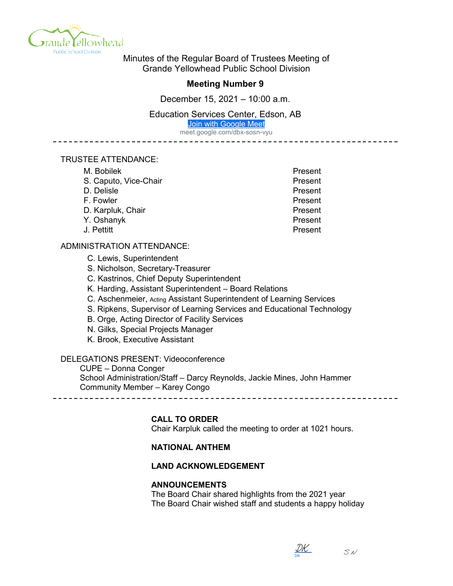

Minutes of the Regular Board of Trustees Meeting of Grande Yellowhead Public School Division

## **Meeting Number 9**

December 15, 2021 – 10:00 a.m.

Education Services Center, Edson, AB

[Join with Google Meet](https://meet.google.com/dbx-sosn-vyu?hs=122&authuser=0)

meet.google.com/dbx-sosn-vyu

#### TRUSTEE ATTENDANCE:

| M. Bobilek            | Present |
|-----------------------|---------|
| S. Caputo, Vice-Chair | Present |
| D. Delisle            | Present |
| F. Fowler             | Present |
| D. Karpluk, Chair     | Present |
| Y. Oshanyk            | Present |
| J. Pettitt            | Present |

#### ADMINISTRATION ATTENDANCE:

C. Lewis, Superintendent

S. Nicholson, Secretary-Treasurer

- C. Kastrinos, Chief Deputy Superintendent
- K. Harding, Assistant Superintendent Board Relations
- C. Aschenmeier, Acting Assistant Superintendent of Learning Services
- S. Ripkens, Supervisor of Learning Services and Educational Technology
- B. Orge, Acting Director of Facility Services
- N. Gilks, Special Projects Manager
- K. Brook, Executive Assistant

## DELEGATIONS PRESENT: Videoconference

CUPE – Donna Conger School Administration/Staff – Darcy Reynolds, Jackie Mines, John Hammer Community Member – Karey Congo

# **CALL TO ORDER**

Chair Karpluk called the meeting to order at 1021 hours.

## **NATIONAL ANTHEM**

## **LAND ACKNOWLEDGEMENT**

#### **ANNOUNCEMENTS**

The Board Chair shared highlights from the 2021 year The Board Chair wished staff and students a happy holiday

DK <u>[DK](https://na1.documents.adobe.com/verifier?tx=CBJCHBCAABAAlL2X9XyiYU3yg2wVsAKRwCrYW3kAlAXW)</u>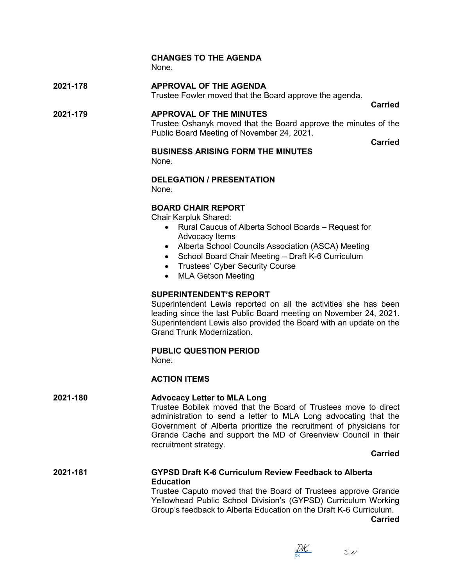# **CHANGES TO THE AGENDA**

None.

# **2021-178 APPROVAL OF THE AGENDA**

Trustee Fowler moved that the Board approve the agenda.

# **2021-179 APPROVAL OF THE MINUTES**

**Carried**

Trustee Oshanyk moved that the Board approve the minutes of the Public Board Meeting of November 24, 2021.

**Carried**

# **BUSINESS ARISING FORM THE MINUTES**

None.

# **DELEGATION / PRESENTATION**

None.

# **BOARD CHAIR REPORT**

Chair Karpluk Shared:

- Rural Caucus of Alberta School Boards Request for Advocacy Items
- Alberta School Councils Association (ASCA) Meeting
- School Board Chair Meeting Draft K-6 Curriculum
- Trustees' Cyber Security Course
- MLA Getson Meeting

## **SUPERINTENDENT'S REPORT**

Superintendent Lewis reported on all the activities she has been leading since the last Public Board meeting on November 24, 2021. Superintendent Lewis also provided the Board with an update on the Grand Trunk Modernization.

## **PUBLIC QUESTION PERIOD**

None.

## **ACTION ITEMS**

## **2021-180 Advocacy Letter to MLA Long**

Trustee Bobilek moved that the Board of Trustees move to direct administration to send a letter to MLA Long advocating that the Government of Alberta prioritize the recruitment of physicians for Grande Cache and support the MD of Greenview Council in their recruitment strategy.

## **Carried**

## **2021-181 GYPSD Draft K-6 Curriculum Review Feedback to Alberta Education**

Trustee Caputo moved that the Board of Trustees approve Grande Yellowhead Public School Division's (GYPSD) Curriculum Working Group's feedback to Alberta Education on the Draft K-6 Curriculum.

**Carried**

DK <u>[DK](https://na1.documents.adobe.com/verifier?tx=CBJCHBCAABAAlL2X9XyiYU3yg2wVsAKRwCrYW3kAlAXW)</u>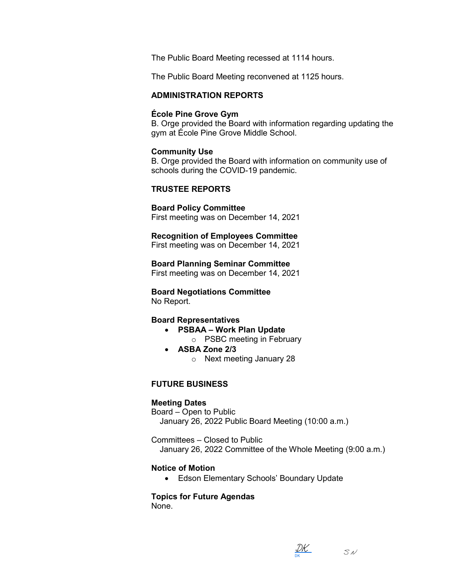The Public Board Meeting recessed at 1114 hours.

The Public Board Meeting reconvened at 1125 hours.

#### **ADMINISTRATION REPORTS**

#### **École Pine Grove Gym**

B. Orge provided the Board with information regarding updating the gym at École Pine Grove Middle School.

#### **Community Use**

B. Orge provided the Board with information on community use of schools during the COVID-19 pandemic.

#### **TRUSTEE REPORTS**

## **Board Policy Committee**

First meeting was on December 14, 2021

#### **Recognition of Employees Committee**

First meeting was on December 14, 2021

**Board Planning Seminar Committee**

First meeting was on December 14, 2021

# **Board Negotiations Committee**

No Report.

## **Board Representatives**

- **PSBAA – Work Plan Update**
	- o PSBC meeting in February
- **ASBA Zone 2/3**
	- o Next meeting January 28

## **FUTURE BUSINESS**

## **Meeting Dates**

Board – Open to Public January 26, 2022 Public Board Meeting (10:00 a.m.)

Committees – Closed to Public January 26, 2022 Committee of the Whole Meeting (9:00 a.m.)

## **Notice of Motion**

• Edson Elementary Schools' Boundary Update

## **Topics for Future Agendas**

None.